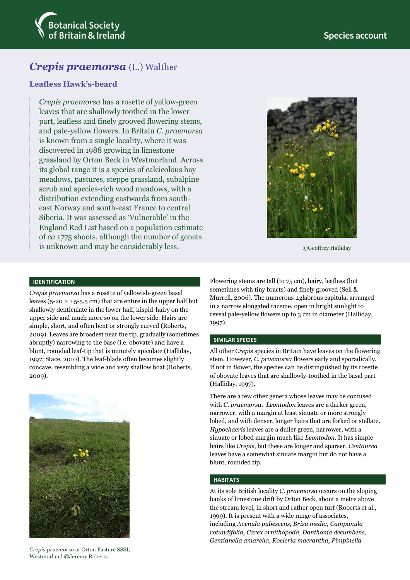

# *Crepis praemorsa* (L.) Walther

## **Leafless Hawk's-beard**

*Crepis praemorsa* has a rosette of yellow-green leaves that are shallowly toothed in the lower part, leafless and finely grooved flowering stems, and pale-yellow flowers. In Britain *C. praemorsa* is known from a single locality, where it was discovered in 1988 growing in limestone grassland by Orton Beck in Westmorland. Across its global range it is a species of calcicolous hay meadows, pastures, steppe grassland, subalpine scrub and species-rich wood meadows, with a distribution extending eastwards from southeast Norway and south-east France to central Siberia. It was assessed as 'Vulnerable' in the England Red List based on a population estimate of *ca* 1775 shoots, although the number of genets is unknown and may be considerably less.



©Geoffrey Halliday

#### **IDENTIFICATION**

*Crepis praemorsa* has a rosette of yellowish-green basal leaves ( $5$ -20  $\times$  1.5-5.5 cm) that are entire in the upper half but shallowly denticulate in the lower half, hispid-hairy on the upper side and much more so on the lower side. Hairs are simple, short, and often bent or strongly curved (Roberts, 2009). Leaves are broadest near the tip, gradually (sometimes abruptly) narrowing to the base (i.e. obovate) and have a blunt, rounded leaf-tip that is minutely apiculate (Halliday, 1997; Stace, 2010). The leaf-blade often becomes slightly concave, resembling a wide and very shallow boat (Roberts, 2009).

*Crepis praemorsa* at Orton Pasture SSSI, Westmorland ©Jeremy Roberts

Flowering stems are tall (to 75 cm), hairy, leafless (but sometimes with tiny bracts) and finely grooved (Sell & Murrell, 2006). The numerous ±glabrous capitula, arranged in a narrow elongated raceme, open in bright sunlight to reveal pale-yellow flowers up to 3 cm in diameter (Halliday, 1997).

#### **SIMILAR SPECIES**

All other *Crepis* species in Britain have leaves on the flowering stem. However, *C. praemorsa* flowers early and sporadically. If not in flower, the species can be distinguished by its rosette of obovate leaves that are shallowly-toothed in the basal part (Halliday, 1997).

There are a few other genera whose leaves may be confused with *C*. *praemorsa*. *Leontodon* leaves are a darker green, narrower, with a margin at least sinuate or more strongly lobed, and with denser, longer hairs that are forked or stellate. *Hypochaeris* leaves are a duller green, narrower, with a sinuate or lobed margin much like *Leontodon*. It has simple hairs like *Crepis*, but these are longer and sparser. *Centaurea* leaves have a somewhat sinuate margin but do not have a blunt, rounded tip.

#### **HABITATS**

At its sole British locality *C. praemorsa* occurs on the sloping banks of limestone drift by Orton Beck, about a metre above the stream level, in short and rather open turf (Roberts et al., 1999). It is present with a wide range of associates, including *Avenula pubescens*, *Briza media, Campanula rotundifolia, Carex ornithopoda, Danthonia decumbens, Gentianella amarella, Koeleria macrantha, Pimpinella*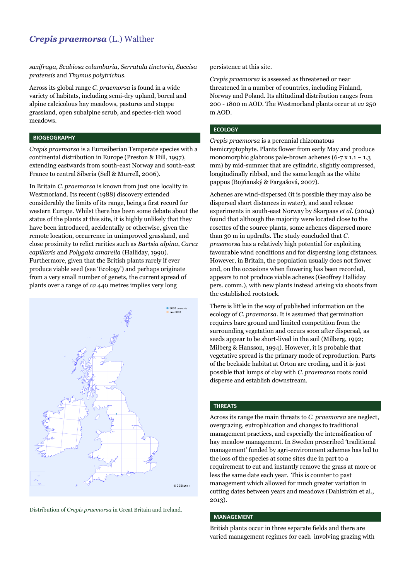## *Crepis praemorsa* (L.) Walther

*saxifraga, Scabiosa columbaria, Serratula tinctoria, Succisa pratensis* and *Thymus polytrichus*.

Across its global range *C. praemorsa* is found in a wide variety of habitats, including semi-dry upland, boreal and alpine calcicolous hay meadows, pastures and steppe grassland, open subalpine scrub, and species-rich wood meadows.

#### **BIOGEOGRAPHY**

*Crepis praemorsa* is a Eurosiberian Temperate species with a continental distribution in Europe (Preston & Hill, 1997), extending eastwards from south-east Norway and south-east France to central Siberia (Sell & Murrell, 2006).

In Britain *C. praemorsa* is known from just one locality in Westmorland. Its recent (1988) discovery extended considerably the limits of its range, being a first record for western Europe. Whilst there has been some debate about the status of the plants at this site, it is highly unlikely that they have been introduced, accidentally or otherwise, given the remote location, occurrence in unimproved grassland, and close proximity to relict rarities such as *Bartsia alpina*, *Carex capillaris* and *Polygala amarella* (Halliday, 1990). Furthermore, given that the British plants rarely if ever produce viable seed (see 'Ecology') and perhaps originate from a very small number of genets, the current spread of plants over a range of *ca* 440 metres implies very long





persistence at this site.

*Crepis praemorsa* is assessed as threatened or near threatened in a number of countries, including Finland, Norway and Poland. Its altitudinal distribution ranges from 200 - 1800 m AOD. The Westmorland plants occur at *ca* 250 m AOD.

#### **ECOLOGY**

*Crepis praemorsa* is a perennial rhizomatous hemicryptophyte. Plants flower from early May and produce monomorphic glabrous pale-brown achenes  $(6-7 \times 1.1 - 1.3)$ mm) by mid-summer that are cylindric, slightly compressed, longitudinally ribbed, and the same length as the white pappus (Bojňanský & Fargašová, 2007).

Achenes are wind-dispersed (it is possible they may also be dispersed short distances in water), and seed release experiments in south-east Norway by Skarpaas *et al*. (2004) found that although the majority were located close to the rosettes of the source plants, some achenes dispersed more than 30 m in updrafts. The study concluded that *C. praemorsa* has a relatively high potential for exploiting favourable wind conditions and for dispersing long distances. However, in Britain, the population usually does not flower and, on the occasions when flowering has been recorded, appears to not produce viable achenes (Geoffrey Halliday pers. comm.), with new plants instead arising via shoots from the established rootstock.

There is little in the way of published information on the ecology of *C. praemorsa.* It is assumed that germination requires bare ground and limited competition from the surrounding vegetation and occurs soon after dispersal, as seeds appear to be short-lived in the soil (Milberg, 1992; Milberg & Hansson, 1994). However, it is probable that vegetative spread is the primary mode of reproduction. Parts of the beckside habitat at Orton are eroding, and it is just possible that lumps of clay with *C. praemorsa* roots could disperse and establish downstream.

#### **THREATS**

Across its range the main threats to *C. praemorsa* are neglect, overgrazing, eutrophication and changes to traditional management practices, and especially the intensification of hay meadow management. In Sweden prescribed 'traditional management' funded by agri-environment schemes has led to the loss of the species at some sites due in part to a requirement to cut and instantly remove the grass at more or less the same date each year. This is counter to past management which allowed for much greater variation in cutting dates between years and meadows (Dahlström et al., 2013).

#### **MANAGEMENT**

British plants occur in three separate fields and there are varied management regimes for each involving grazing with